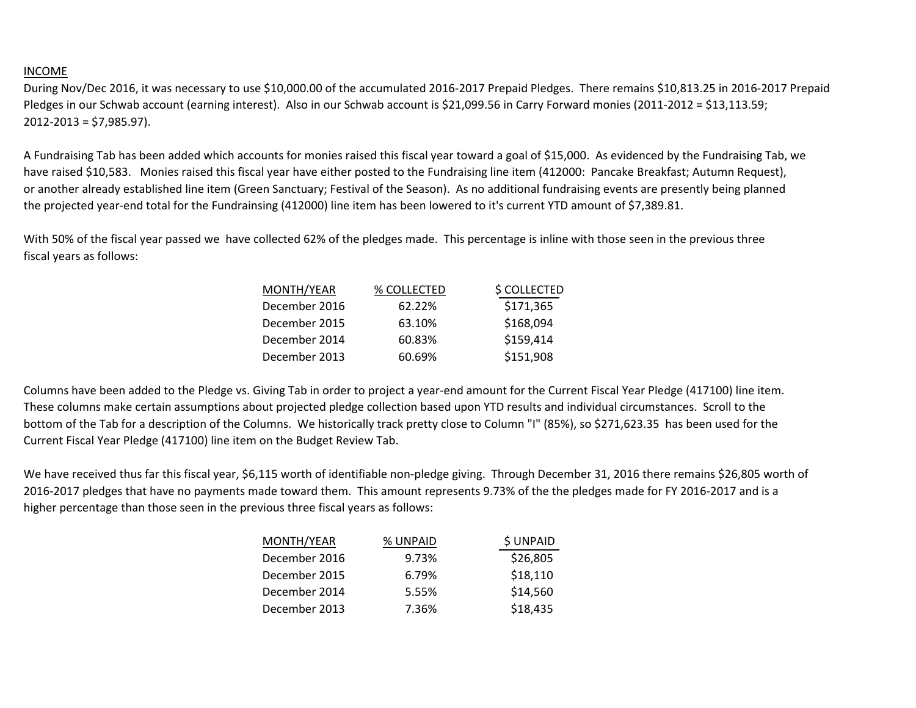## INCOME

During Nov/Dec 2016, it was necessary to use \$10,000.00 of the accumulated 2016-2017 Prepaid Pledges. There remains \$10,813.25 in 2016-2017 Prepaid Pledges in our Schwab account (earning interest). Also in our Schwab account is \$21,099.56 in Carry Forward monies (2011-2012 = \$13,113.59; 2012-2013 = \$7,985.97).

A Fundraising Tab has been added which accounts for monies raised this fiscal year toward a goal of \$15,000. As evidenced by the Fundraising Tab, we have raised \$10,583. Monies raised this fiscal year have either posted to the Fundraising line item (412000: Pancake Breakfast; Autumn Request), or another already established line item (Green Sanctuary; Festival of the Season). As no additional fundraising events are presently being planned the projected year-end total for the Fundrainsing (412000) line item has been lowered to it's current YTD amount of \$7,389.81.

With 50% of the fiscal year passed we have collected 62% of the pledges made. This percentage is inline with those seen in the previous three fiscal years as follows:

| MONTH/YEAR    | % COLLECTED | \$ COLLECTED |
|---------------|-------------|--------------|
| December 2016 | 62.22%      | \$171,365    |
| December 2015 | 63.10%      | \$168,094    |
| December 2014 | 60.83%      | \$159,414    |
| December 2013 | 60.69%      | \$151,908    |

Columns have been added to the Pledge vs. Giving Tab in order to project a year-end amount for the Current Fiscal Year Pledge (417100) line item. These columns make certain assumptions about projected pledge collection based upon YTD results and individual circumstances. Scroll to the bottom of the Tab for a description of the Columns. We historically track pretty close to Column "I" (85%), so \$271,623.35 has been used for the Current Fiscal Year Pledge (417100) line item on the Budget Review Tab.

We have received thus far this fiscal year, \$6,115 worth of identifiable non-pledge giving. Through December 31, 2016 there remains \$26,805 worth of 2016-2017 pledges that have no payments made toward them. This amount represents 9.73% of the the pledges made for FY 2016-2017 and is a higher percentage than those seen in the previous three fiscal years as follows:

| MONTH/YEAR    | % UNPAID | \$ UNPAID |
|---------------|----------|-----------|
| December 2016 | 9.73%    | \$26,805  |
| December 2015 | 6.79%    | \$18,110  |
| December 2014 | 5.55%    | \$14,560  |
| December 2013 | 7.36%    | \$18,435  |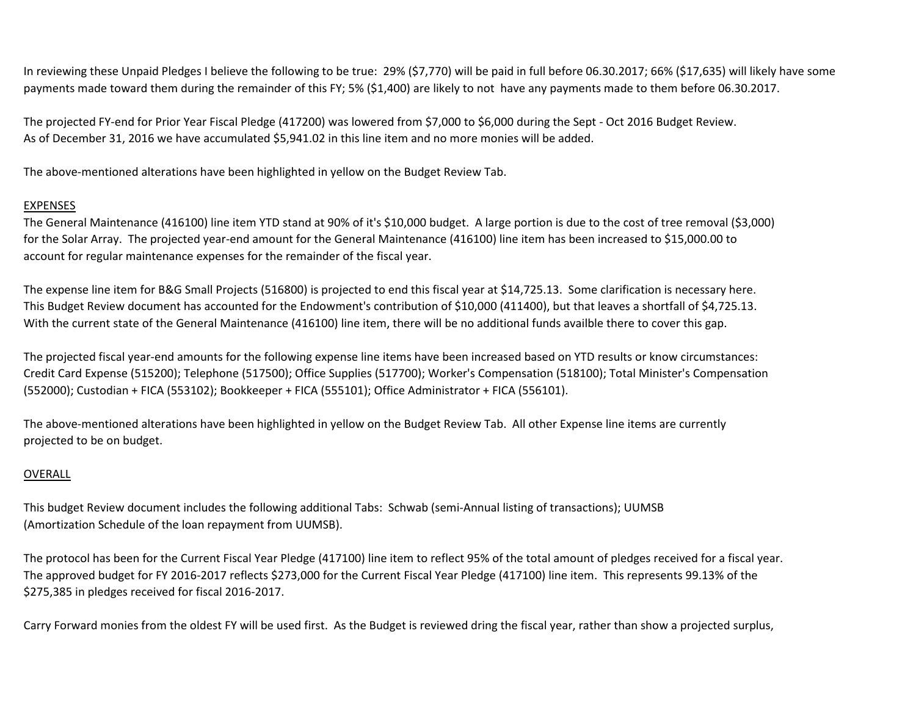In reviewing these Unpaid Pledges I believe the following to be true: 29% (\$7,770) will be paid in full before 06.30.2017; 66% (\$17,635) will likely have some payments made toward them during the remainder of this FY; 5% (\$1,400) are likely to not have any payments made to them before 06.30.2017.

The projected FY-end for Prior Year Fiscal Pledge (417200) was lowered from \$7,000 to \$6,000 during the Sept - Oct 2016 Budget Review. As of December 31, 2016 we have accumulated \$5,941.02 in this line item and no more monies will be added.

The above-mentioned alterations have been highlighted in yellow on the Budget Review Tab.

## EXPENSES

The General Maintenance (416100) line item YTD stand at 90% of it's \$10,000 budget. A large portion is due to the cost of tree removal (\$3,000) for the Solar Array. The projected year-end amount for the General Maintenance (416100) line item has been increased to \$15,000.00 to account for regular maintenance expenses for the remainder of the fiscal year.

The expense line item for B&G Small Projects (516800) is projected to end this fiscal year at \$14,725.13. Some clarification is necessary here. This Budget Review document has accounted for the Endowment's contribution of \$10,000 (411400), but that leaves a shortfall of \$4,725.13. With the current state of the General Maintenance (416100) line item, there will be no additional funds availble there to cover this gap.

The projected fiscal year-end amounts for the following expense line items have been increased based on YTD results or know circumstances: Credit Card Expense (515200); Telephone (517500); Office Supplies (517700); Worker's Compensation (518100); Total Minister's Compensation (552000); Custodian + FICA (553102); Bookkeeper + FICA (555101); Office Administrator + FICA (556101).

The above-mentioned alterations have been highlighted in yellow on the Budget Review Tab. All other Expense line items are currently projected to be on budget.

## OVERALL

This budget Review document includes the following additional Tabs: Schwab (semi-Annual listing of transactions); UUMSB (Amortization Schedule of the loan repayment from UUMSB).

The protocol has been for the Current Fiscal Year Pledge (417100) line item to reflect 95% of the total amount of pledges received for a fiscal year. The approved budget for FY 2016-2017 reflects \$273,000 for the Current Fiscal Year Pledge (417100) line item. This represents 99.13% of the \$275,385 in pledges received for fiscal 2016-2017.

Carry Forward monies from the oldest FY will be used first. As the Budget is reviewed dring the fiscal year, rather than show a projected surplus,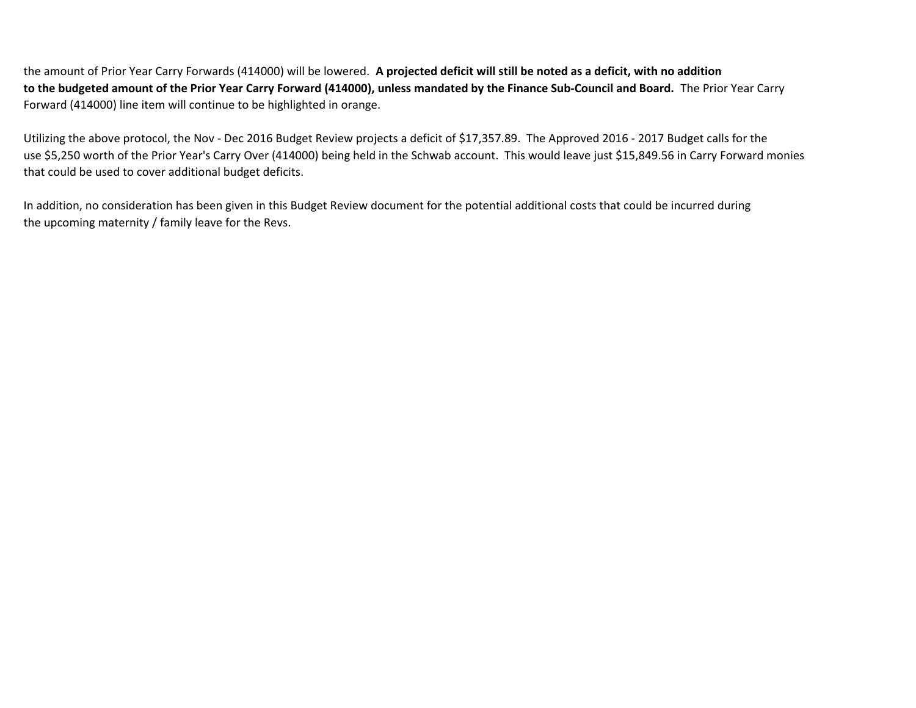the amount of Prior Year Carry Forwards (414000) will be lowered. **A projected deficit will still be noted as a deficit, with no addition to the budgeted amount of the Prior Year Carry Forward (414000), unless mandated by the Finance Sub-Council and Board.** The Prior Year Carry Forward (414000) line item will continue to be highlighted in orange.

Utilizing the above protocol, the Nov - Dec 2016 Budget Review projects a deficit of \$17,357.89. The Approved 2016 - 2017 Budget calls for the use \$5,250 worth of the Prior Year's Carry Over (414000) being held in the Schwab account. This would leave just \$15,849.56 in Carry Forward monies that could be used to cover additional budget deficits.

In addition, no consideration has been given in this Budget Review document for the potential additional costs that could be incurred during the upcoming maternity / family leave for the Revs.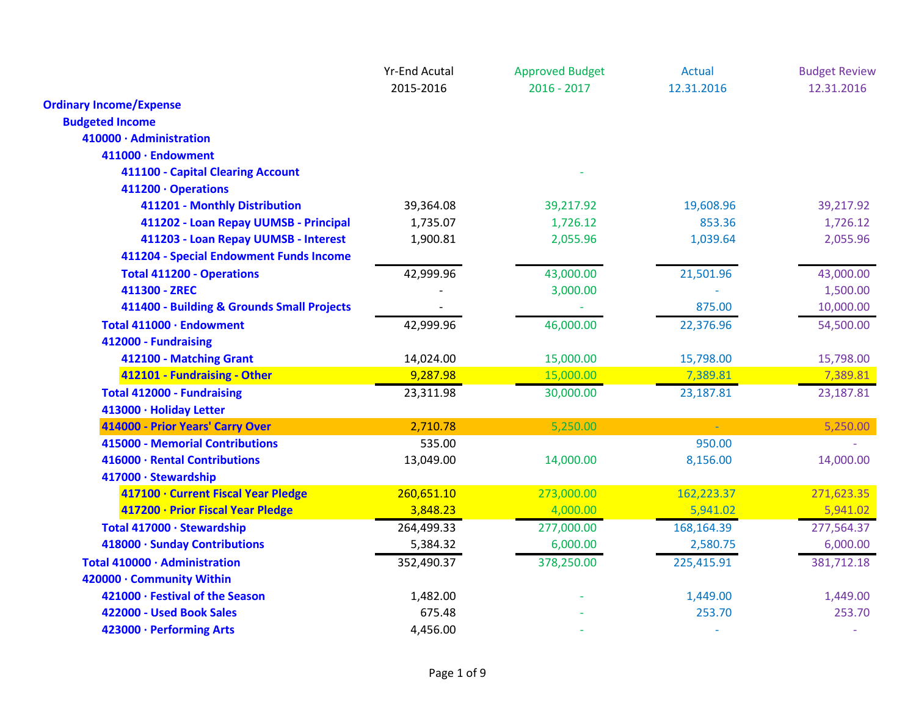|                                            | <b>Yr-End Acutal</b> | <b>Approved Budget</b> | <b>Actual</b> | <b>Budget Review</b> |
|--------------------------------------------|----------------------|------------------------|---------------|----------------------|
|                                            | 2015-2016            | $2016 - 2017$          | 12.31.2016    | 12.31.2016           |
| <b>Ordinary Income/Expense</b>             |                      |                        |               |                      |
| <b>Budgeted Income</b>                     |                      |                        |               |                      |
| 410000 · Administration                    |                      |                        |               |                      |
| 411000 · Endowment                         |                      |                        |               |                      |
| 411100 - Capital Clearing Account          |                      |                        |               |                      |
| 411200 · Operations                        |                      |                        |               |                      |
| 411201 - Monthly Distribution              | 39,364.08            | 39,217.92              | 19,608.96     | 39,217.92            |
| 411202 - Loan Repay UUMSB - Principal      | 1,735.07             | 1,726.12               | 853.36        | 1,726.12             |
| 411203 - Loan Repay UUMSB - Interest       | 1,900.81             | 2,055.96               | 1,039.64      | 2,055.96             |
| 411204 - Special Endowment Funds Income    |                      |                        |               |                      |
| <b>Total 411200 - Operations</b>           | 42,999.96            | 43,000.00              | 21,501.96     | 43,000.00            |
| 411300 - ZREC                              |                      | 3,000.00               |               | 1,500.00             |
| 411400 - Building & Grounds Small Projects |                      |                        | 875.00        | 10,000.00            |
| Total 411000 · Endowment                   | 42,999.96            | 46,000.00              | 22,376.96     | 54,500.00            |
| 412000 - Fundraising                       |                      |                        |               |                      |
| 412100 - Matching Grant                    | 14,024.00            | 15,000.00              | 15,798.00     | 15,798.00            |
| 412101 - Fundraising - Other               | 9,287.98             | 15,000.00              | 7,389.81      | 7,389.81             |
| <b>Total 412000 - Fundraising</b>          | 23,311.98            | 30,000.00              | 23,187.81     | 23,187.81            |
| 413000 · Holiday Letter                    |                      |                        |               |                      |
| 414000 - Prior Years' Carry Over           | 2,710.78             | 5,250.00               | $\omega$      | 5,250.00             |
| <b>415000 - Memorial Contributions</b>     | 535.00               |                        | 950.00        |                      |
| 416000 · Rental Contributions              | 13,049.00            | 14,000.00              | 8,156.00      | 14,000.00            |
| 417000 · Stewardship                       |                      |                        |               |                      |
| 417100 · Current Fiscal Year Pledge        | 260,651.10           | 273,000.00             | 162,223.37    | 271,623.35           |
| 417200 · Prior Fiscal Year Pledge          | 3,848.23             | 4,000.00               | 5,941.02      | 5,941.02             |
| Total 417000 · Stewardship                 | 264,499.33           | 277,000.00             | 168,164.39    | 277,564.37           |
| 418000 · Sunday Contributions              | 5,384.32             | 6,000.00               | 2,580.75      | 6,000.00             |
| Total 410000 · Administration              | 352,490.37           | 378,250.00             | 225,415.91    | 381,712.18           |
| 420000 · Community Within                  |                      |                        |               |                      |
| 421000 · Festival of the Season            | 1,482.00             |                        | 1,449.00      | 1,449.00             |
| 422000 - Used Book Sales                   | 675.48               |                        | 253.70        | 253.70               |
| 423000 · Performing Arts                   | 4,456.00             |                        |               |                      |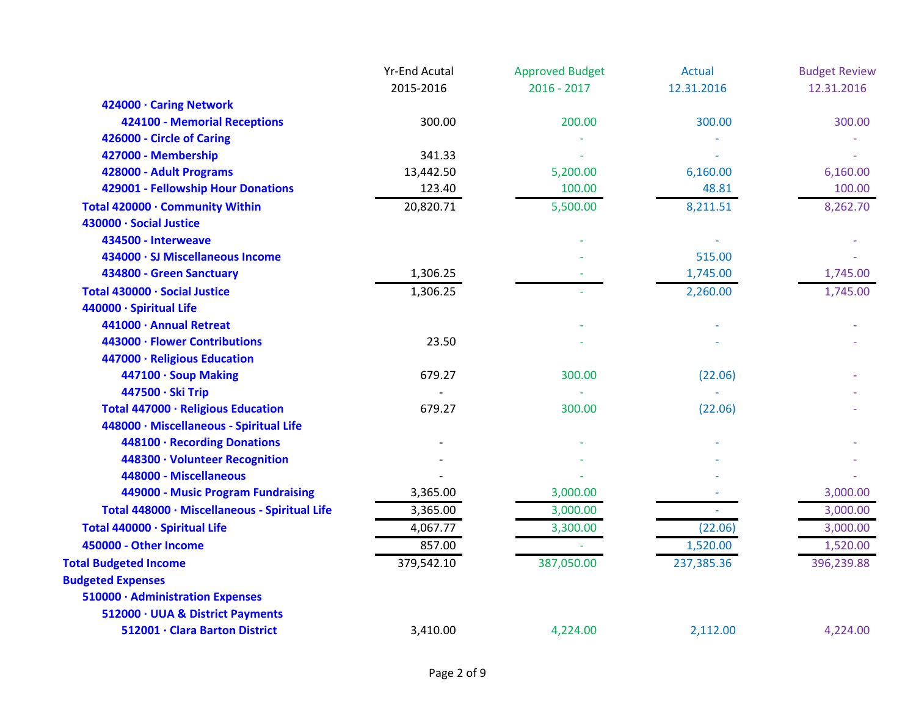|                                               | <b>Yr-End Acutal</b> | <b>Approved Budget</b> | <b>Actual</b> | <b>Budget Review</b> |
|-----------------------------------------------|----------------------|------------------------|---------------|----------------------|
|                                               | 2015-2016            | $2016 - 2017$          | 12.31.2016    | 12.31.2016           |
| 424000 · Caring Network                       |                      |                        |               |                      |
| 424100 - Memorial Receptions                  | 300.00               | 200.00                 | 300.00        | 300.00               |
| 426000 - Circle of Caring                     |                      |                        |               |                      |
| 427000 - Membership                           | 341.33               |                        |               |                      |
| 428000 - Adult Programs                       | 13,442.50            | 5,200.00               | 6,160.00      | 6,160.00             |
| 429001 - Fellowship Hour Donations            | 123.40               | 100.00                 | 48.81         | 100.00               |
| Total 420000 · Community Within               | 20,820.71            | 5,500.00               | 8,211.51      | 8,262.70             |
| 430000 · Social Justice                       |                      |                        |               |                      |
| 434500 - Interweave                           |                      |                        |               |                      |
| 434000 · SJ Miscellaneous Income              |                      |                        | 515.00        |                      |
| 434800 - Green Sanctuary                      | 1,306.25             |                        | 1,745.00      | 1,745.00             |
| Total 430000 · Social Justice                 | 1,306.25             |                        | 2,260.00      | 1,745.00             |
| 440000 · Spiritual Life                       |                      |                        |               |                      |
| 441000 · Annual Retreat                       |                      |                        |               |                      |
| 443000 · Flower Contributions                 | 23.50                |                        |               |                      |
| 447000 · Religious Education                  |                      |                        |               |                      |
| 447100 · Soup Making                          | 679.27               | 300.00                 | (22.06)       |                      |
| 447500 · Ski Trip                             |                      |                        |               |                      |
| Total 447000 · Religious Education            | 679.27               | 300.00                 | (22.06)       |                      |
| 448000 · Miscellaneous - Spiritual Life       |                      |                        |               |                      |
| 448100 · Recording Donations                  |                      |                        |               |                      |
| 448300 · Volunteer Recognition                |                      |                        |               |                      |
| 448000 - Miscellaneous                        |                      |                        |               |                      |
| 449000 - Music Program Fundraising            | 3,365.00             | 3,000.00               |               | 3,000.00             |
| Total 448000 · Miscellaneous - Spiritual Life | 3,365.00             | 3,000.00               |               | 3,000.00             |
| Total 440000 · Spiritual Life                 | 4,067.77             | 3,300.00               | (22.06)       | 3,000.00             |
| 450000 - Other Income                         | 857.00               |                        | 1,520.00      | 1,520.00             |
| <b>Total Budgeted Income</b>                  | 379,542.10           | 387,050.00             | 237,385.36    | 396,239.88           |
| <b>Budgeted Expenses</b>                      |                      |                        |               |                      |
| 510000 · Administration Expenses              |                      |                        |               |                      |
| 512000 · UUA & District Payments              |                      |                        |               |                      |
| 512001 · Clara Barton District                | 3,410.00             | 4,224.00               | 2,112.00      | 4,224.00             |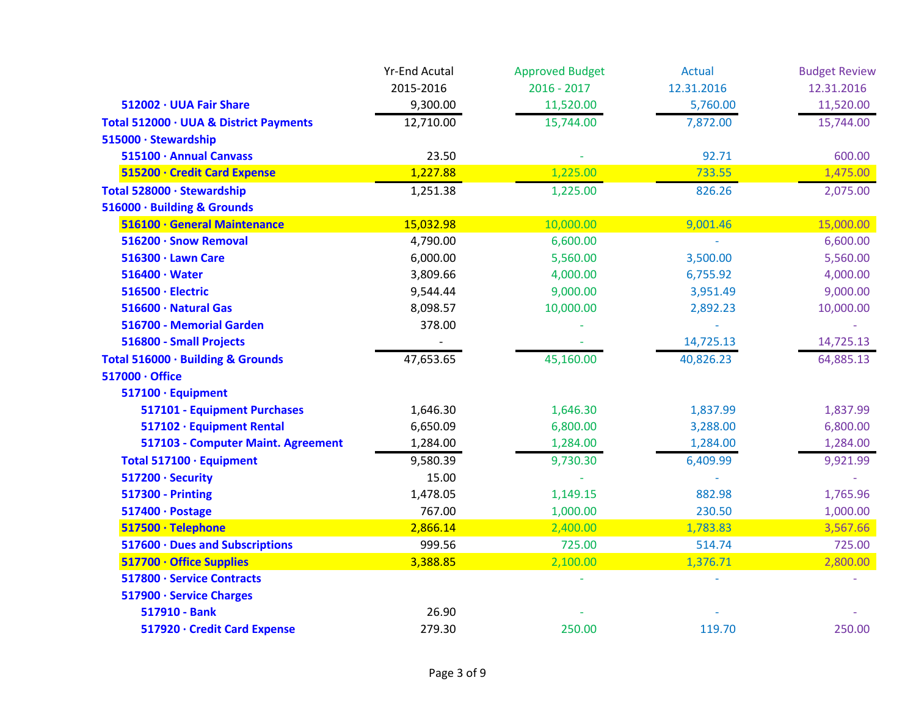|                                        | <b>Yr-End Acutal</b> | <b>Approved Budget</b> | <b>Actual</b> | <b>Budget Review</b> |
|----------------------------------------|----------------------|------------------------|---------------|----------------------|
|                                        | 2015-2016            | $2016 - 2017$          | 12.31.2016    | 12.31.2016           |
| 512002 · UUA Fair Share                | 9,300.00             | 11,520.00              | 5,760.00      | 11,520.00            |
| Total 512000 · UUA & District Payments | 12,710.00            | 15,744.00              | 7,872.00      | 15,744.00            |
| 515000 · Stewardship                   |                      |                        |               |                      |
| 515100 · Annual Canvass                | 23.50                |                        | 92.71         | 600.00               |
| 515200 · Credit Card Expense           | 1,227.88             | 1,225.00               | 733.55        | 1,475.00             |
| Total 528000 · Stewardship             | 1,251.38             | 1,225.00               | 826.26        | 2,075.00             |
| 516000 · Building & Grounds            |                      |                        |               |                      |
| 516100 · General Maintenance           | 15,032.98            | 10,000.00              | 9,001.46      | 15,000.00            |
| 516200 · Snow Removal                  | 4,790.00             | 6,600.00               |               | 6,600.00             |
| $516300 \cdot$ Lawn Care               | 6,000.00             | 5,560.00               | 3,500.00      | 5,560.00             |
| $516400 \cdot Water$                   | 3,809.66             | 4,000.00               | 6,755.92      | 4,000.00             |
| 516500 · Electric                      | 9,544.44             | 9,000.00               | 3,951.49      | 9,000.00             |
| 516600 · Natural Gas                   | 8,098.57             | 10,000.00              | 2,892.23      | 10,000.00            |
| 516700 - Memorial Garden               | 378.00               |                        |               |                      |
| 516800 - Small Projects                |                      |                        | 14,725.13     | 14,725.13            |
| Total 516000 · Building & Grounds      | 47,653.65            | 45,160.00              | 40,826.23     | 64,885.13            |
| 517000 · Office                        |                      |                        |               |                      |
| 517100 · Equipment                     |                      |                        |               |                      |
| 517101 - Equipment Purchases           | 1,646.30             | 1,646.30               | 1,837.99      | 1,837.99             |
| 517102 · Equipment Rental              | 6,650.09             | 6,800.00               | 3,288.00      | 6,800.00             |
| 517103 - Computer Maint. Agreement     | 1,284.00             | 1,284.00               | 1,284.00      | 1,284.00             |
| Total 517100 · Equipment               | 9,580.39             | 9,730.30               | 6,409.99      | 9,921.99             |
| 517200 · Security                      | 15.00                |                        |               |                      |
| <b>517300 - Printing</b>               | 1,478.05             | 1,149.15               | 882.98        | 1,765.96             |
| 517400 · Postage                       | 767.00               | 1,000.00               | 230.50        | 1,000.00             |
| 517500 · Telephone                     | 2,866.14             | 2,400.00               | 1,783.83      | 3,567.66             |
| 517600 · Dues and Subscriptions        | 999.56               | 725.00                 | 514.74        | 725.00               |
| 517700 · Office Supplies               | 3,388.85             | 2,100.00               | 1,376.71      | 2,800.00             |
| 517800 · Service Contracts             |                      |                        |               |                      |
| 517900 · Service Charges               |                      |                        |               |                      |
| 517910 - Bank                          | 26.90                |                        |               |                      |
| 517920 · Credit Card Expense           | 279.30               | 250.00                 | 119.70        | 250.00               |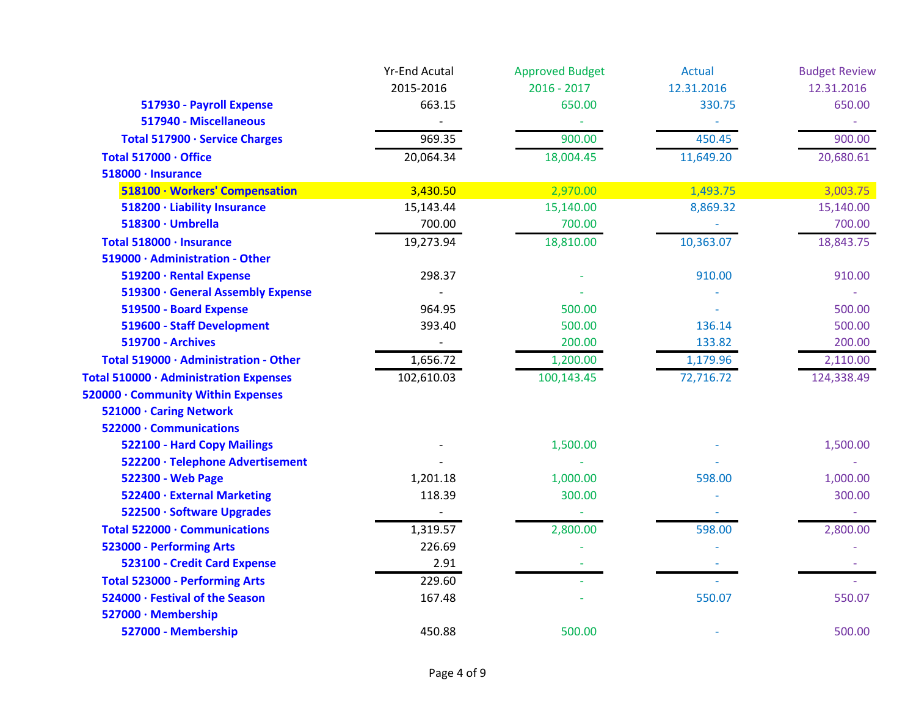|                                        | <b>Yr-End Acutal</b> | <b>Approved Budget</b> | <b>Actual</b> | <b>Budget Review</b> |
|----------------------------------------|----------------------|------------------------|---------------|----------------------|
|                                        | 2015-2016            | $2016 - 2017$          | 12.31.2016    | 12.31.2016           |
| 517930 - Payroll Expense               | 663.15               | 650.00                 | 330.75        | 650.00               |
| 517940 - Miscellaneous                 |                      |                        |               |                      |
| Total 517900 · Service Charges         | 969.35               | 900.00                 | 450.45        | 900.00               |
| Total 517000 · Office                  | 20,064.34            | 18,004.45              | 11,649.20     | 20,680.61            |
| 518000 · Insurance                     |                      |                        |               |                      |
| 518100 · Workers' Compensation         | 3,430.50             | 2,970.00               | 1,493.75      | 3,003.75             |
| 518200 · Liability Insurance           | 15,143.44            | 15,140.00              | 8,869.32      | 15,140.00            |
| 518300 · Umbrella                      | 700.00               | 700.00                 |               | 700.00               |
| Total 518000 · Insurance               | 19,273.94            | 18,810.00              | 10,363.07     | 18,843.75            |
| 519000 · Administration - Other        |                      |                        |               |                      |
| 519200 · Rental Expense                | 298.37               |                        | 910.00        | 910.00               |
| 519300 · General Assembly Expense      |                      |                        |               |                      |
| 519500 - Board Expense                 | 964.95               | 500.00                 |               | 500.00               |
| 519600 - Staff Development             | 393.40               | 500.00                 | 136.14        | 500.00               |
| <b>519700 - Archives</b>               |                      | 200.00                 | 133.82        | 200.00               |
| Total 519000 · Administration - Other  | 1,656.72             | 1,200.00               | 1,179.96      | 2,110.00             |
| Total 510000 · Administration Expenses | 102,610.03           | 100,143.45             | 72,716.72     | 124,338.49           |
| 520000 · Community Within Expenses     |                      |                        |               |                      |
| 521000 · Caring Network                |                      |                        |               |                      |
| 522000 · Communications                |                      |                        |               |                      |
| 522100 - Hard Copy Mailings            |                      | 1,500.00               |               | 1,500.00             |
| 522200 · Telephone Advertisement       |                      |                        |               |                      |
| 522300 - Web Page                      | 1,201.18             | 1,000.00               | 598.00        | 1,000.00             |
| 522400 · External Marketing            | 118.39               | 300.00                 |               | 300.00               |
| 522500 · Software Upgrades             |                      |                        |               |                      |
| Total 522000 · Communications          | 1,319.57             | 2,800.00               | 598.00        | 2,800.00             |
| 523000 - Performing Arts               | 226.69               |                        |               |                      |
| 523100 - Credit Card Expense           | 2.91                 |                        |               |                      |
| <b>Total 523000 - Performing Arts</b>  | 229.60               |                        |               |                      |
| 524000 · Festival of the Season        | 167.48               |                        | 550.07        | 550.07               |
| 527000 · Membership                    |                      |                        |               |                      |
| 527000 - Membership                    | 450.88               | 500.00                 |               | 500.00               |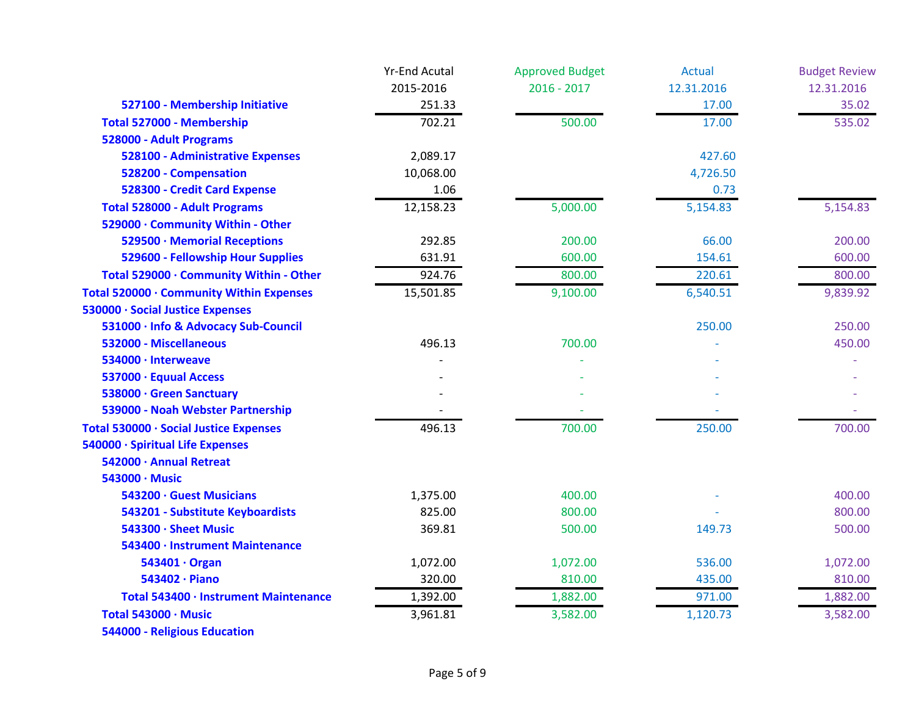|                                          | <b>Yr-End Acutal</b> | <b>Approved Budget</b> | <b>Actual</b> | <b>Budget Review</b> |
|------------------------------------------|----------------------|------------------------|---------------|----------------------|
|                                          | 2015-2016            | $2016 - 2017$          | 12.31.2016    | 12.31.2016           |
| 527100 - Membership Initiative           | 251.33               |                        | 17.00         | 35.02                |
| Total 527000 - Membership                | 702.21               | 500.00                 | 17.00         | 535.02               |
| 528000 - Adult Programs                  |                      |                        |               |                      |
| <b>528100 - Administrative Expenses</b>  | 2,089.17             |                        | 427.60        |                      |
| 528200 - Compensation                    | 10,068.00            |                        | 4,726.50      |                      |
| 528300 - Credit Card Expense             | 1.06                 |                        | 0.73          |                      |
| <b>Total 528000 - Adult Programs</b>     | 12,158.23            | 5,000.00               | 5,154.83      | 5,154.83             |
| 529000 · Community Within - Other        |                      |                        |               |                      |
| 529500 · Memorial Receptions             | 292.85               | 200.00                 | 66.00         | 200.00               |
| 529600 - Fellowship Hour Supplies        | 631.91               | 600.00                 | 154.61        | 600.00               |
| Total 529000 · Community Within - Other  | 924.76               | 800.00                 | 220.61        | 800.00               |
| Total 520000 · Community Within Expenses | 15,501.85            | 9,100.00               | 6,540.51      | 9,839.92             |
| 530000 · Social Justice Expenses         |                      |                        |               |                      |
| 531000 · Info & Advocacy Sub-Council     |                      |                        | 250.00        | 250.00               |
| 532000 - Miscellaneous                   | 496.13               | 700.00                 |               | 450.00               |
| 534000 · Interweave                      |                      |                        |               |                      |
| 537000 · Equual Access                   |                      |                        |               |                      |
| 538000 · Green Sanctuary                 |                      |                        |               |                      |
| 539000 - Noah Webster Partnership        |                      |                        |               |                      |
| Total 530000 · Social Justice Expenses   | 496.13               | 700.00                 | 250.00        | 700.00               |
| 540000 · Spiritual Life Expenses         |                      |                        |               |                      |
| 542000 · Annual Retreat                  |                      |                        |               |                      |
| 543000 · Music                           |                      |                        |               |                      |
| 543200 · Guest Musicians                 | 1,375.00             | 400.00                 |               | 400.00               |
| 543201 - Substitute Keyboardists         | 825.00               | 800.00                 |               | 800.00               |
| 543300 · Sheet Music                     | 369.81               | 500.00                 | 149.73        | 500.00               |
| 543400 · Instrument Maintenance          |                      |                        |               |                      |
| 543401 · Organ                           | 1,072.00             | 1,072.00               | 536.00        | 1,072.00             |
| 543402 · Piano                           | 320.00               | 810.00                 | 435.00        | 810.00               |
| Total 543400 · Instrument Maintenance    | 1,392.00             | 1,882.00               | 971.00        | 1,882.00             |
| Total 543000 · Music                     | 3,961.81             | 3,582.00               | 1,120.73      | 3,582.00             |
| 544000 - Religious Education             |                      |                        |               |                      |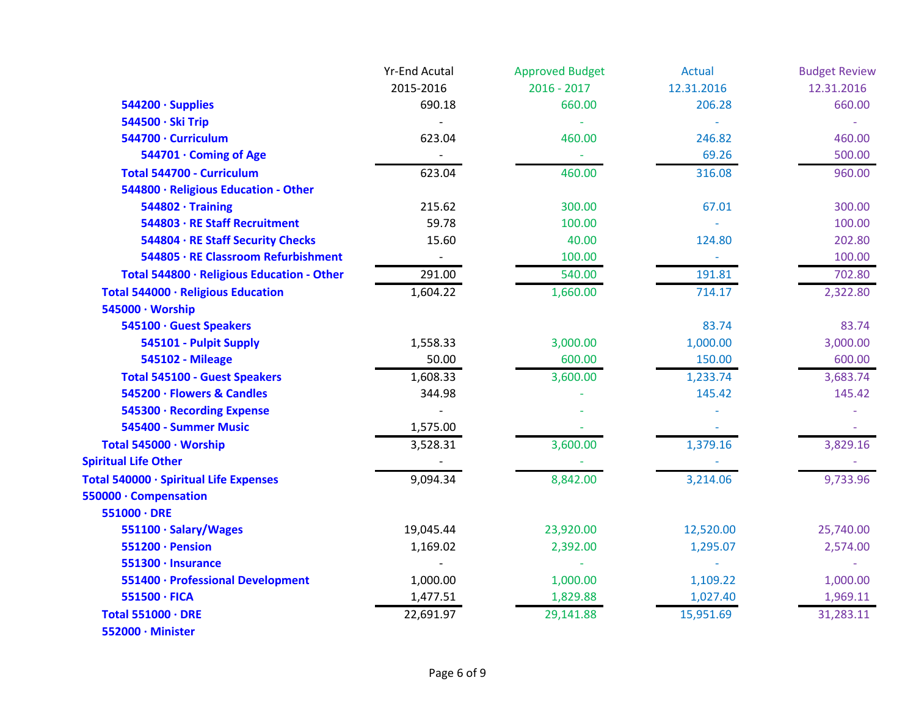|                                            | <b>Yr-End Acutal</b> | <b>Approved Budget</b> | Actual     | <b>Budget Review</b> |
|--------------------------------------------|----------------------|------------------------|------------|----------------------|
|                                            | 2015-2016            | $2016 - 2017$          | 12.31.2016 | 12.31.2016           |
| 544200 · Supplies                          | 690.18               | 660.00                 | 206.28     | 660.00               |
| 544500 · Ski Trip                          |                      |                        |            |                      |
| 544700 · Curriculum                        | 623.04               | 460.00                 | 246.82     | 460.00               |
| 544701 · Coming of Age                     |                      |                        | 69.26      | 500.00               |
| Total 544700 - Curriculum                  | 623.04               | 460.00                 | 316.08     | 960.00               |
| 544800 · Religious Education - Other       |                      |                        |            |                      |
| $544802 \cdot$ Training                    | 215.62               | 300.00                 | 67.01      | 300.00               |
| 544803 · RE Staff Recruitment              | 59.78                | 100.00                 |            | 100.00               |
| 544804 · RE Staff Security Checks          | 15.60                | 40.00                  | 124.80     | 202.80               |
| 544805 · RE Classroom Refurbishment        | $\sim$               | 100.00                 | $\sim$     | 100.00               |
| Total 544800 · Religious Education - Other | 291.00               | 540.00                 | 191.81     | 702.80               |
| Total 544000 · Religious Education         | 1,604.22             | 1,660.00               | 714.17     | 2,322.80             |
| 545000 · Worship                           |                      |                        |            |                      |
| 545100 · Guest Speakers                    |                      |                        | 83.74      | 83.74                |
| 545101 - Pulpit Supply                     | 1,558.33             | 3,000.00               | 1,000.00   | 3,000.00             |
| <b>545102 - Mileage</b>                    | 50.00                | 600.00                 | 150.00     | 600.00               |
| <b>Total 545100 - Guest Speakers</b>       | 1,608.33             | 3,600.00               | 1,233.74   | 3,683.74             |
| 545200 · Flowers & Candles                 | 344.98               |                        | 145.42     | 145.42               |
| 545300 · Recording Expense                 |                      |                        |            |                      |
| 545400 - Summer Music                      | 1,575.00             |                        |            |                      |
| Total 545000 · Worship                     | 3,528.31             | 3,600.00               | 1,379.16   | 3,829.16             |
| <b>Spiritual Life Other</b>                |                      |                        |            |                      |
| Total 540000 · Spiritual Life Expenses     | 9,094.34             | 8,842.00               | 3,214.06   | 9,733.96             |
| 550000 · Compensation                      |                      |                        |            |                      |
| $551000 \cdot DRE$                         |                      |                        |            |                      |
| 551100 · Salary/Wages                      | 19,045.44            | 23,920.00              | 12,520.00  | 25,740.00            |
| 551200 · Pension                           | 1,169.02             | 2,392.00               | 1,295.07   | 2,574.00             |
| 551300 · Insurance                         |                      |                        |            |                      |
| 551400 · Professional Development          | 1,000.00             | 1,000.00               | 1,109.22   | 1,000.00             |
| $551500 \cdot FICA$                        | 1,477.51             | 1,829.88               | 1,027.40   | 1,969.11             |
| Total 551000 · DRE                         | 22,691.97            | 29,141.88              | 15,951.69  | 31,283.11            |
| 552000 · Minister                          |                      |                        |            |                      |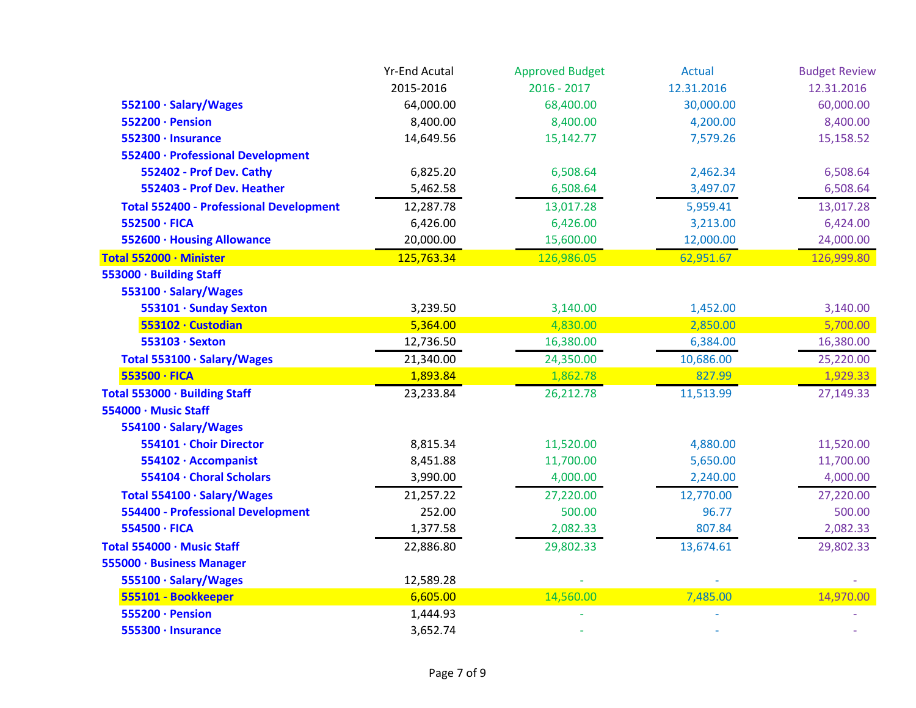|                                                | <b>Yr-End Acutal</b> | <b>Approved Budget</b> | Actual     | <b>Budget Review</b> |
|------------------------------------------------|----------------------|------------------------|------------|----------------------|
|                                                | 2015-2016            | $2016 - 2017$          | 12.31.2016 | 12.31.2016           |
| 552100 · Salary/Wages                          | 64,000.00            | 68,400.00              | 30,000.00  | 60,000.00            |
| 552200 · Pension                               | 8,400.00             | 8,400.00               | 4,200.00   | 8,400.00             |
| 552300 · Insurance                             | 14,649.56            | 15,142.77              | 7,579.26   | 15,158.52            |
| 552400 · Professional Development              |                      |                        |            |                      |
| 552402 - Prof Dev. Cathy                       | 6,825.20             | 6,508.64               | 2,462.34   | 6,508.64             |
| 552403 - Prof Dev. Heather                     | 5,462.58             | 6,508.64               | 3,497.07   | 6,508.64             |
| <b>Total 552400 - Professional Development</b> | 12,287.78            | 13,017.28              | 5,959.41   | 13,017.28            |
| 552500 · FICA                                  | 6,426.00             | 6,426.00               | 3,213.00   | 6,424.00             |
| 552600 · Housing Allowance                     | 20,000.00            | 15,600.00              | 12,000.00  | 24,000.00            |
| Total 552000 · Minister                        | 125,763.34           | 126,986.05             | 62,951.67  | 126,999.80           |
| 553000 · Building Staff                        |                      |                        |            |                      |
| 553100 · Salary/Wages                          |                      |                        |            |                      |
| 553101 · Sunday Sexton                         | 3,239.50             | 3,140.00               | 1,452.00   | 3,140.00             |
| 553102 · Custodian                             | 5,364.00             | 4,830.00               | 2,850.00   | 5,700.00             |
| 553103 · Sexton                                | 12,736.50            | 16,380.00              | 6,384.00   | 16,380.00            |
| Total 553100 · Salary/Wages                    | 21,340.00            | 24,350.00              | 10,686.00  | 25,220.00            |
| 553500 · FICA                                  | 1,893.84             | 1,862.78               | 827.99     | 1,929.33             |
| Total 553000 · Building Staff                  | 23,233.84            | 26,212.78              | 11,513.99  | 27,149.33            |
| 554000 · Music Staff                           |                      |                        |            |                      |
| 554100 · Salary/Wages                          |                      |                        |            |                      |
| 554101 · Choir Director                        | 8,815.34             | 11,520.00              | 4,880.00   | 11,520.00            |
| 554102 · Accompanist                           | 8,451.88             | 11,700.00              | 5,650.00   | 11,700.00            |
| 554104 · Choral Scholars                       | 3,990.00             | 4,000.00               | 2,240.00   | 4,000.00             |
| Total 554100 · Salary/Wages                    | 21,257.22            | 27,220.00              | 12,770.00  | 27,220.00            |
| <b>554400 - Professional Development</b>       | 252.00               | 500.00                 | 96.77      | 500.00               |
| 554500 · FICA                                  | 1,377.58             | 2,082.33               | 807.84     | 2,082.33             |
| Total 554000 · Music Staff                     | 22,886.80            | 29,802.33              | 13,674.61  | 29,802.33            |
| 555000 · Business Manager                      |                      |                        |            |                      |
| 555100 · Salary/Wages                          | 12,589.28            |                        |            |                      |
| 555101 - Bookkeeper                            | 6,605.00             | 14,560.00              | 7,485.00   | 14,970.00            |
| 555200 · Pension                               | 1,444.93             |                        |            |                      |
| 555300 · Insurance                             | 3,652.74             |                        |            |                      |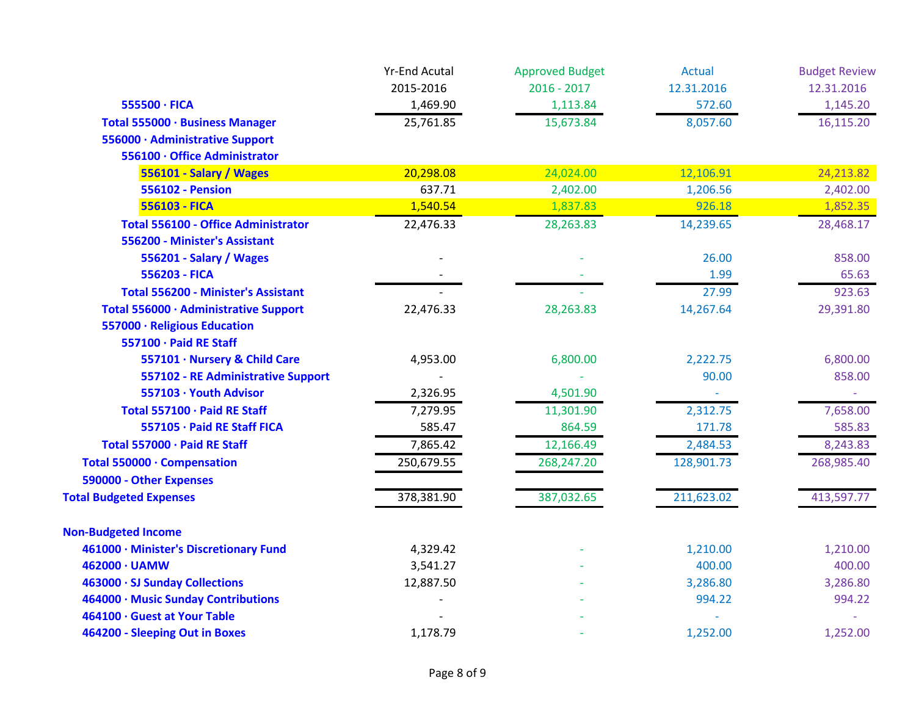|                                            | <b>Yr-End Acutal</b> | <b>Approved Budget</b> | <b>Actual</b> | <b>Budget Review</b> |
|--------------------------------------------|----------------------|------------------------|---------------|----------------------|
|                                            | 2015-2016            | $2016 - 2017$          | 12.31.2016    | 12.31.2016           |
| 555500 · FICA                              | 1,469.90             | 1,113.84               | 572.60        | 1,145.20             |
| Total 555000 · Business Manager            | 25,761.85            | 15,673.84              | 8,057.60      | 16,115.20            |
| 556000 · Administrative Support            |                      |                        |               |                      |
| 556100 · Office Administrator              |                      |                        |               |                      |
| 556101 - Salary / Wages                    | 20,298.08            | 24,024.00              | 12,106.91     | 24,213.82            |
| <b>556102 - Pension</b>                    | 637.71               | 2,402.00               | 1,206.56      | 2,402.00             |
| 556103 - FICA                              | 1,540.54             | 1,837.83               | 926.18        | 1,852.35             |
| <b>Total 556100 - Office Administrator</b> | 22,476.33            | 28,263.83              | 14,239.65     | 28,468.17            |
| 556200 - Minister's Assistant              |                      |                        |               |                      |
| 556201 - Salary / Wages                    |                      |                        | 26.00         | 858.00               |
| 556203 - FICA                              |                      |                        | 1.99          | 65.63                |
| <b>Total 556200 - Minister's Assistant</b> |                      |                        | 27.99         | 923.63               |
| Total 556000 · Administrative Support      | 22,476.33            | 28,263.83              | 14,267.64     | 29,391.80            |
| 557000 · Religious Education               |                      |                        |               |                      |
| 557100 · Paid RE Staff                     |                      |                        |               |                      |
| 557101 · Nursery & Child Care              | 4,953.00             | 6,800.00               | 2,222.75      | 6,800.00             |
| 557102 - RE Administrative Support         |                      |                        | 90.00         | 858.00               |
| 557103 · Youth Advisor                     | 2,326.95             | 4,501.90               |               |                      |
| Total 557100 · Paid RE Staff               | 7,279.95             | 11,301.90              | 2,312.75      | 7,658.00             |
| 557105 · Paid RE Staff FICA                | 585.47               | 864.59                 | 171.78        | 585.83               |
| Total 557000 · Paid RE Staff               | 7,865.42             | 12,166.49              | 2,484.53      | 8,243.83             |
| Total 550000 · Compensation                | 250,679.55           | 268,247.20             | 128,901.73    | 268,985.40           |
| 590000 - Other Expenses                    |                      |                        |               |                      |
| <b>Total Budgeted Expenses</b>             | 378,381.90           | 387,032.65             | 211,623.02    | 413,597.77           |
| <b>Non-Budgeted Income</b>                 |                      |                        |               |                      |
| 461000 · Minister's Discretionary Fund     | 4,329.42             |                        | 1,210.00      | 1,210.00             |
| 462000 · UAMW                              | 3,541.27             |                        | 400.00        | 400.00               |
| 463000 · SJ Sunday Collections             | 12,887.50            |                        | 3,286.80      | 3,286.80             |
| 464000 · Music Sunday Contributions        |                      |                        | 994.22        | 994.22               |
| 464100 · Guest at Your Table               |                      |                        |               |                      |
| 464200 - Sleeping Out in Boxes             | 1,178.79             |                        | 1,252.00      | 1,252.00             |